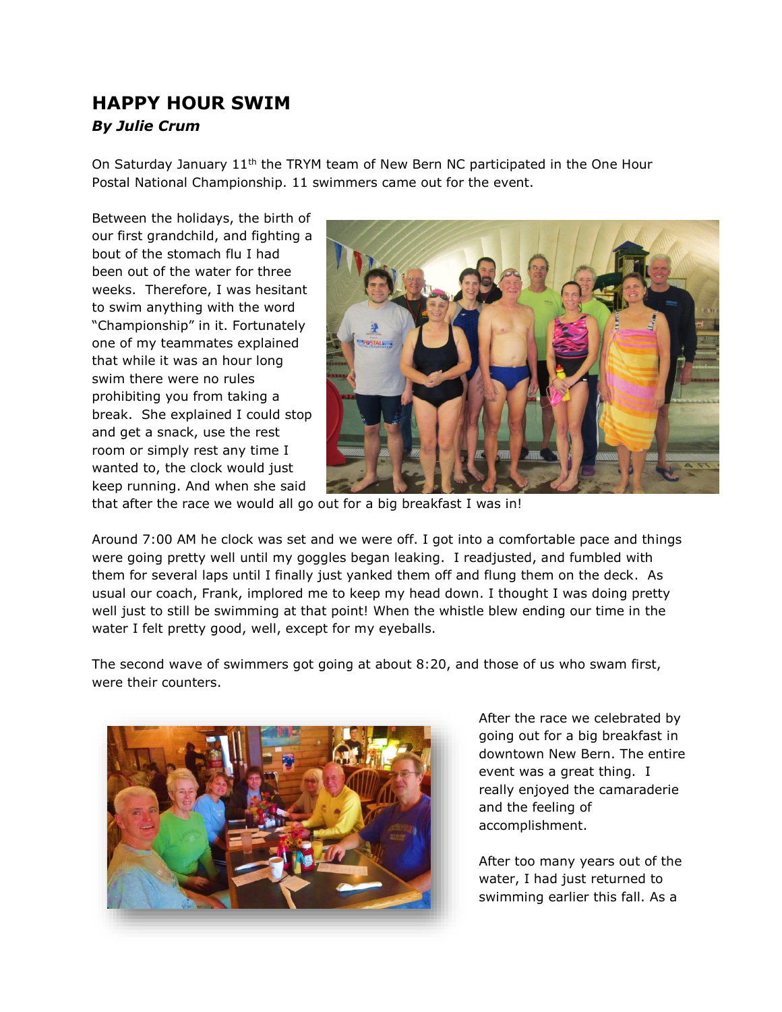## **HAPPY HOUR SWIM** *By Julie Crum*

On Saturday January 11<sup>th</sup> the TRYM team of New Bern NC participated in the One Hour Postal National Championship. 11 swimmers came out for the event.

Between the holidays, the birth of our first grandchild, and fighting a bout of the stomach flu I had been out of the water for three weeks. Therefore, I was hesitant to swim anything with the word "Championship" in it. Fortunately one of my teammates explained that while it was an hour long swim there were no rules prohibiting you from taking a break. She explained I could stop and get a snack, use the rest room or simply rest any time I wanted to, the clock would just keep running. And when she said



that after the race we would all go out for a big breakfast I was in!

Around 7:00 AM he clock was set and we were off. I got into a comfortable pace and things were going pretty well until my goggles began leaking. I readjusted, and fumbled with them for several laps until I finally just yanked them off and flung them on the deck. As usual our coach, Frank, implored me to keep my head down. I thought I was doing pretty well just to still be swimming at that point! When the whistle blew ending our time in the water I felt pretty good, well, except for my eyeballs.

The second wave of swimmers got going at about 8:20, and those of us who swam first, were their counters.



After the race we celebrated by going out for a big breakfast in downtown New Bern. The entire event was a great thing. I really enjoyed the camaraderie and the feeling of accomplishment.

After too many years out of the water, I had just returned to swimming earlier this fall. As a